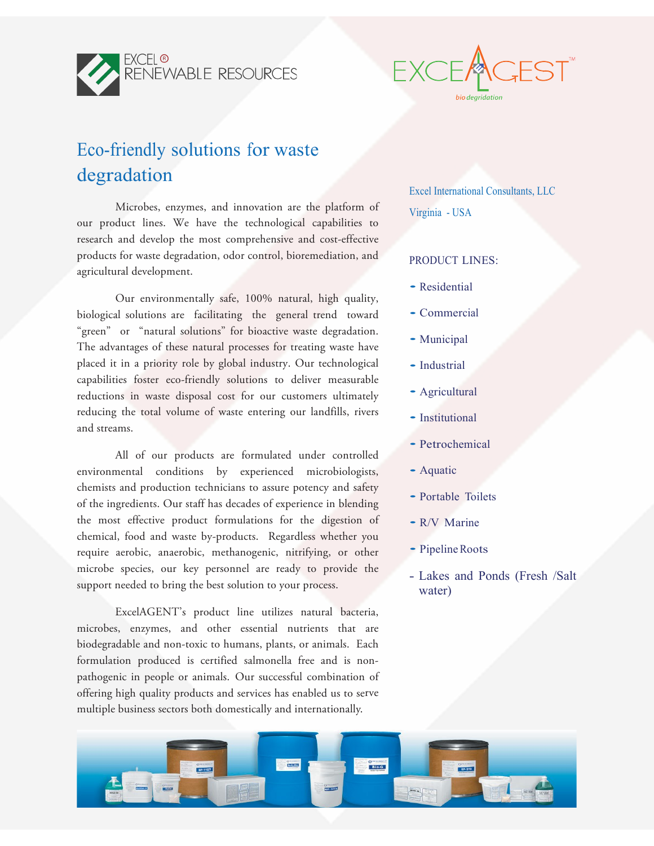



## Eco-friendly solutions for waste degradation

Microbes, enzymes, and innovation are the platform of our product lines. We have the technological capabilities to research and develop the most comprehensive and cost-effective products for waste degradation, odor control, bioremediation, and agricultural development.

Our environmentally safe, 100% natural, high quality, biological solutions are facilitating the general trend toward "green" or "natural solutions" for bioactive waste degradation. The advantages of these natural processes for treating waste have placed it in a priority role by global industry. Our technological capabilities foster eco-friendly solutions to deliver measurable reductions in waste disposal cost for our customers ultimately reducing the total volume of waste entering our landfills, rivers and streams.

All of our products are formulated under controlled environmental conditions by experienced microbiologists, chemists and production technicians to assure potency and safety of the ingredients. Our staff has decades of experience in blending the most effective product formulations for the digestion of chemical, food and waste by-products. Regardless whether you require aerobic, anaerobic, methanogenic, nitrifying, or other microbe species, our key personnel are ready to provide the support needed to bring the best solution to your process.

ExcelAGENT's product line utilizes natural bacteria, microbes, enzymes, and other essential nutrients that are biodegradable and non-toxic to humans, plants, or animals. Each formulation produced is certified salmonella free and is nonpathogenic in people or animals. Our successful combination of offering high quality products and services has enabled us to serve multiple business sectors both domestically and internationally.

Excel International Consultants, LLC

Virginia - USA

## PRODUCT LINES:

- Residential
- Commercial
- Municipal
- Industrial
- Agricultural
- Institutional
- Petrochemical
- Aquatic
- Portable Toilets
- R/V Marine
- Pipeline Roots
- Lakes and Ponds (Fresh /Salt water)